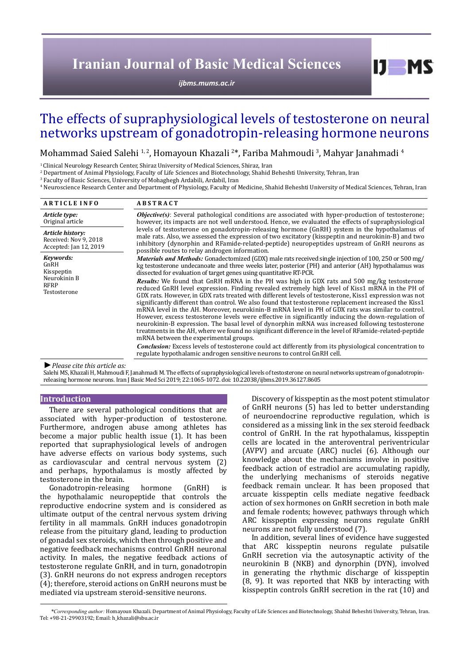# **Iranian Journal of Basic Medical Sciences**

*[ijbms.mums.ac.ir](http://ijbms.mums.ac.ir)*

# The effects of supraphysiological levels of testosterone on neural networks upstream of gonadotropin-releasing hormone neurons

Mohammad Saied Salehi 1,2, Homayoun Khazali 2\*, Fariba Mahmoudi 3, Mahyar Janahmadi 4

<sup>1</sup> Clinical Neurology Research Center, Shiraz University of Medical Sciences, Shiraz, Iran

2 Department of Animal Physiology, Faculty of Life Sciences and Biotechnology, Shahid Beheshti University, Tehran, Iran

3 Faculty of Basic Sciences, University of Mohaghegh Ardabili, Ardabil, Iran

4 Neuroscience Research Center and Department of Physiology, Faculty of Medicine, Shahid Beheshti University of Medical Sciences, Tehran, Iran

| <b>ARTICLE INFO</b>                                                     | <b>ABSTRACT</b>                                                                                                                                                                                                                                                                                                                                                                                                                                                                                                                                                                                                                                                                                                                                                                                                                                                                                                                                                                                                                                                                                                                                                             |  |  |
|-------------------------------------------------------------------------|-----------------------------------------------------------------------------------------------------------------------------------------------------------------------------------------------------------------------------------------------------------------------------------------------------------------------------------------------------------------------------------------------------------------------------------------------------------------------------------------------------------------------------------------------------------------------------------------------------------------------------------------------------------------------------------------------------------------------------------------------------------------------------------------------------------------------------------------------------------------------------------------------------------------------------------------------------------------------------------------------------------------------------------------------------------------------------------------------------------------------------------------------------------------------------|--|--|
| Article type:<br>Original article                                       | <b><i>Objective(s)</i></b> : Several pathological conditions are associated with hyper-production of testosterone;<br>however, its impacts are not well understood. Hence, we evaluated the effects of supraphysiological                                                                                                                                                                                                                                                                                                                                                                                                                                                                                                                                                                                                                                                                                                                                                                                                                                                                                                                                                   |  |  |
| Article history:<br>Received: Nov 9, 2018<br>Accepted: Jan 12, 2019     | levels of testosterone on gonadotropin-releasing hormone (GnRH) system in the hypothalamus of<br>male rats. Also, we assessed the expression of two excitatory (kisspeptin and neurokinin-B) and two<br>inhibitory (dynorphin and RFamide-related-peptide) neuropeptides upstream of GnRH neurons as<br>possible routes to relay androgen information.                                                                                                                                                                                                                                                                                                                                                                                                                                                                                                                                                                                                                                                                                                                                                                                                                      |  |  |
| Keywords:<br>GnRH<br>Kisspeptin<br>Neurokinin B<br>RFRP<br>Testosterone | Materials and Methods: Gonadectomized (GDX) male rats received single injection of 100, 250 or 500 mg/<br>kg testosterone undecanoate and three weeks later, posterior (PH) and anterior (AH) hypothalamus was<br>dissected for evaluation of target genes using quantitative RT-PCR.<br>Results: We found that GnRH mRNA in the PH was high in GDX rats and 500 mg/kg testosterone<br>reduced GnRH level expression. Finding revealed extremely high level of Kiss1 mRNA in the PH of<br>GDX rats. However, in GDX rats treated with different levels of testosterone, Kiss1 expression was not<br>significantly different than control. We also found that testosterone replacement increased the Kiss1<br>mRNA level in the AH. Moreover, neurokinin-B mRNA level in PH of GDX rats was similar to control.<br>However, excess testosterone levels were effective in significantly inducing the down-regulation of<br>neurokinin-B expression. The basal level of dynorphin mRNA was increased following testosterone<br>treatments in the AH, where we found no significant difference in the level of RFamide-related-peptide<br>mRNA between the experimental groups. |  |  |
|                                                                         | <i>Conclusion:</i> Excess levels of testosterone could act differently from its physiological concentration to<br>regulate hypothalamic androgen sensitive neurons to control GnRH cell.                                                                                                                                                                                                                                                                                                                                                                                                                                                                                                                                                                                                                                                                                                                                                                                                                                                                                                                                                                                    |  |  |

*►Please cite this article as:*

Salehi MS, Khazali H, Mahmoudi F, Janahmadi M. The effects of supraphysiological levels of testosterone on neural networks upstream of gonadotropinreleasing hormone neurons. Iran J Basic Med Sci 2019; 22:1065-1072. doi: 10.22038/ijbms.2019.36127.8605

#### **Introduction**

There are several pathological conditions that are associated with hyper-production of testosterone. Furthermore, androgen abuse among athletes has become a major public health issue (1). It has been reported that supraphysiological levels of androgen have adverse effects on various body systems, such as cardiovascular and central nervous system (2) and perhaps, hypothalamus is mostly affected by testosterone in the brain.

Gonadotropin-releasing hormone (GnRH) is the hypothalamic neuropeptide that controls the reproductive endocrine system and is considered as ultimate output of the central nervous system driving fertility in all mammals. GnRH induces gonadotropin release from the pituitary gland, leading to production of gonadal sex steroids, which then through positive and negative feedback mechanisms control GnRH neuronal activity. In males, the negative feedback actions of testosterone regulate GnRH, and in turn, gonadotropin (3). GnRH neurons do not express androgen receptors (4); therefore, steroid actions on GnRH neurons must be mediated via upstream steroid-sensitive neurons.

Discovery of kisspeptin as the most potent stimulator of GnRH neurons (5) has led to better understanding of neuroendocrine reproductive regulation, which is considered as a missing link in the sex steroid feedback control of GnRH. In the rat hypothalamus, kisspeptin cells are located in the anteroventral periventricular (AVPV) and arcuate (ARC) nuclei (6). Although our knowledge about the mechanisms involve in positive feedback action of estradiol are accumulating rapidly, the underlying mechanisms of steroids negative feedback remain unclear. It has been proposed that arcuate kisspeptin cells mediate negative feedback action of sex hormones on GnRH secretion in both male and female rodents; however, pathways through which ARC kisspeptin expressing neurons regulate GnRH neurons are not fully understood (7).

 $I$   $I$   $M$   $S$ 

In addition, several lines of evidence have suggested that ARC kisspeptin neurons regulate pulsatile GnRH secretion via the autosynaptic activity of the neurokinin B (NKB) and dynorphin (DYN), involved in generating the rhythmic discharge of kisspeptin (8, 9). It was reported that NKB by interacting with kisspeptin controls GnRH secretion in the rat (10) and

*\*Corresponding author:* Homayoun Khazali. Department of Animal Physiology, Faculty of Life Sciences and Biotechnology, Shahid Beheshti University, Tehran, Iran. Tel: +98-21-29903192; Email: h\_khazali@sbu.ac.ir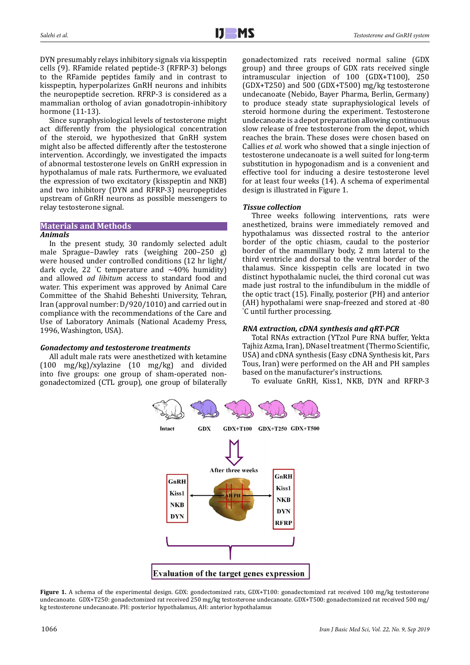DYN presumably relays inhibitory signals via kisspeptin cells (9). RFamide related peptide-3 (RFRP-3) belongs to the RFamide peptides family and in contrast to kisspeptin, hyperpolarizes GnRH neurons and inhibits the neuropeptide secretion. RFRP-3 is considered as a mammalian ortholog of avian gonadotropin-inhibitory hormone (11-13).

Since supraphysiological levels of testosterone might act differently from the physiological concentration of the steroid, we hypothesized that GnRH system might also be affected differently after the testosterone intervention. Accordingly, we investigated the impacts of abnormal testosterone levels on GnRH expression in hypothalamus of male rats. Furthermore, we evaluated the expression of two excitatory (kisspeptin and NKB) and two inhibitory (DYN and RFRP-3) neuropeptides upstream of GnRH neurons as possible messengers to relay testosterone signal.

# **Materials and Methods**

## *Animals*

In the present study, 30 randomly selected adult male Sprague–Dawley rats (weighing 200–250 g) were housed under controlled conditions (12 hr light/ dark cycle, 22 ° C temperature and ∼40% humidity) and allowed *ad libitum* access to standard food and water. This experiment was approved by Animal Care Committee of the Shahid Beheshti University, Tehran, Iran (approval number: D/920/1010) and carried out in compliance with the recommendations of the Care and Use of Laboratory Animals (National Academy Press, 1996, Washington, USA).

## *Gonadectomy and testosterone treatments*

All adult male rats were anesthetized with ketamine (100 mg/kg)/xylazine (10 mg/kg) and divided into five groups: one group of sham-operated nongonadectomized (CTL group), one group of bilaterally gonadectomized rats received normal saline (GDX group) and three groups of GDX rats received single intramuscular injection of 100 (GDX+T100), 250 (GDX+T250) and 500 (GDX+T500) mg/kg testosterone undecanoate (Nebido, Bayer Pharma, Berlin, Germany) to produce steady state supraphysiological levels of steroid hormone during the experiment. Testosterone undecanoate is a depot preparation allowing continuous slow release of free testosterone from the depot, which reaches the brain. These doses were chosen based on Callies *et al.* work who showed that a single injection of testosterone undecanoate is a well suited for long-term substitution in hypogonadism and is a convenient and effective tool for inducing a desire testosterone level for at least four weeks (14). A schema of experimental design is illustrated in Figure 1.

# *Tissue collection*

Three weeks following interventions, rats were anesthetized, brains were immediately removed and hypothalamus was dissected rostral to the anterior border of the optic chiasm, caudal to the posterior border of the mammillary body, 2 mm lateral to the third ventricle and dorsal to the ventral border of the thalamus. Since kisspeptin cells are located in two distinct hypothalamic nuclei, the third coronal cut was made just rostral to the infundibulum in the middle of the optic tract (15). Finally, posterior (PH) and anterior (AH) hypothalami were snap-freezed and stored at -80 ° C until further processing.

# *RNA extraction, cDNA synthesis and qRT-PCR*

Total RNAs extraction (YTzol Pure RNA buffer, Yekta Tajhiz Azma, Iran), DNaseI treatment (Thermo Scientific, USA) and cDNA synthesis (Easy cDNA Synthesis kit, Pars Tous, Iran) were performed on the AH and PH samples based on the manufacturer's instructions.

To evaluate GnRH, Kiss1, NKB, DYN and RFRP-3



**Figure 1.** A schema of the experimental design. GDX: gondectomized rats, GDX+T100: gonadectomized rat received 100 mg/kg testosterone undecanoate. GDX+T250: gonadectomized rat received 250 mg/kg testosterone undecanoate. GDX+T500: gonadectomized rat received 500 mg/ kg testosterone undecanoate. PH: posterior hypothalamus, AH: anterior hypothalamus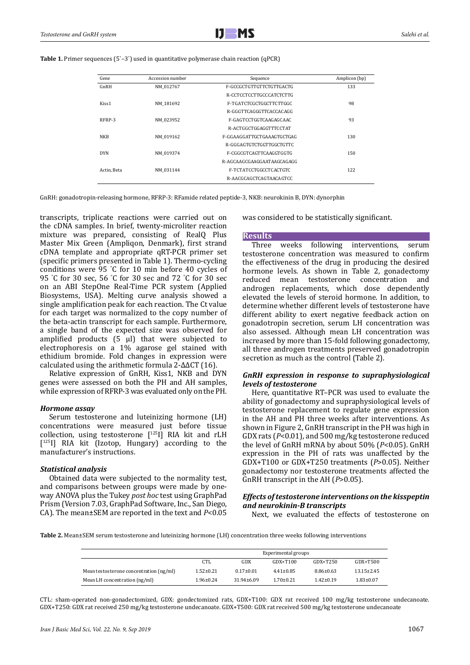**Table 1.** Primer sequences (5`–3`) used in quantitative polymerase chain reaction (qPCR)

| Gene              | Accession number | Sequence                   | Amplicon (bp) |  |  |
|-------------------|------------------|----------------------------|---------------|--|--|
| GnRH              | NM 012767        | F-GCCGCTGTTGTTCTGTTGACTG   | 133           |  |  |
|                   |                  | R-CCTCCTCCTTGCCCATCTCTTG   |               |  |  |
| Kiss <sub>1</sub> | NM 181692        | F-TGATCTCGCTGGCTTCTTGGC    | 98            |  |  |
|                   |                  | R-GGGTTCAGGGTTCACCACAGG    |               |  |  |
| RFRP-3            | NM 023952        | F-GAGTCCTGGTCAAGAGCAAC     | 93            |  |  |
|                   |                  | R-ACTGGCTGGAGGTTTCCTAT     |               |  |  |
| <b>NKB</b>        | NM 019162        | F-GGAAGGATTGCTGAAAGTGCTGAG | 130           |  |  |
|                   |                  | R-GGGAGTGTCTGGTTGGCTGTTC   |               |  |  |
| <b>DYN</b>        | NM 019374        | F-CGGCGTCAGTTCAAGGTGGTG    | 150           |  |  |
|                   |                  | R-AGCAAGCGAAGGAATAAGCAGAGG |               |  |  |
| Actin Beta        | NM 031144        | F-TCTATCCTGGCCTCACTGTC     | 122           |  |  |
|                   |                  | R-AACGCAGCTCAGTAACAGTCC    |               |  |  |

GnRH: gonadotropin-releasing hormone, RFRP-3: RFamide related peptide-3, NKB: neurokinin B, DYN: dynorphin

transcripts, triplicate reactions were carried out on the cDNA samples. In brief, twenty-microliter reaction mixture was prepared, consisting of RealQ Plus Master Mix Green (Ampliqon, Denmark), first strand cDNA template and appropriate qRT-PCR primer set (specific primers presented in Table 1). Thermo-cycling conditions were 95 ° C for 10 min before 40 cycles of 95 ° C for 30 sec, 56 ° C for 30 sec and 72 ° C for 30 sec on an ABI StepOne Real-Time PCR system (Applied Biosystems, USA). Melting curve analysis showed a single amplification peak for each reaction. The Ct value for each target was normalized to the copy number of the beta-actin transcript for each sample. Furthermore, a single band of the expected size was observed for amplified products (5 μl) that were subjected to electrophoresis on a 1% agarose gel stained with ethidium bromide. Fold changes in expression were calculated using the arithmetic formula 2-ΔΔCT (16).

Relative expression of GnRH, Kiss1, NKB and DYN genes were assessed on both the PH and AH samples, while expression of RFRP-3 was evaluated only on the PH.

#### *Hormone assay*

Serum testosterone and luteinizing hormone (LH) concentrations were measured just before tissue collection, using testosterone [125I] RIA kit and rLH [<sup>125</sup>I] RIA kit (Izotop, Hungary) according to the manufacturer's instructions.

#### *Statistical analysis*

Obtained data were subjected to the normality test, and comparisons between groups were made by oneway ANOVA plus the Tukey *post hoc* test using GraphPad Prism (Version 7.03, GraphPad Software, Inc., San Diego, CA). The mean±SEM are reported in the text and *P*<0.05 was considered to be statistically significant.

#### **Results**

Three weeks following interventions, serum testosterone concentration was measured to confirm the effectiveness of the drug in producing the desired hormone levels. As shown in Table 2, gonadectomy reduced mean testosterone concentration and androgen replacements, which dose dependently elevated the levels of steroid hormone. In addition, to determine whether different levels of testosterone have different ability to exert negative feedback action on gonadotropin secretion, serum LH concentration was also assessed. Although mean LH concentration was increased by more than 15-fold following gonadectomy, all three androgen treatments preserved gonadotropin secretion as much as the control (Table 2).

## *GnRH expression in response to supraphysiological levels of testosterone*

Here, quantitative RT–PCR was used to evaluate the ability of gonadectomy and supraphysiological levels of testosterone replacement to regulate gene expression in the AH and PH three weeks after interventions. As shown in Figure 2, GnRH transcript in the PH was high in GDX rats (*P*<0.01), and 500 mg/kg testosterone reduced the level of GnRH mRNA by about 50% (*P*<0.05). GnRH expression in the PH of rats was unaffected by the GDX+T100 or GDX+T250 treatments (*P*>0.05). Neither gonadectomy nor testosterone treatments affected the GnRH transcript in the AH (*P*>0.05).

# *Effects of testosterone interventions on the kisspeptin and neurokinin-B transcripts*

Next, we evaluated the effects of testosterone on

**Table 2.** Mean±SEM serum testosterone and luteinizing hormone (LH) concentration three weeks following interventions

|                                         | Experimental groups |                  |                 |                 |                  |
|-----------------------------------------|---------------------|------------------|-----------------|-----------------|------------------|
|                                         | CTL.                | GDX              | $GDX + T100$    | $GDX + T250$    | $GDX + T500$     |
| Mean testosterone concentration (ng/ml) | $1.52 \pm 0.21$     | $0.17 \pm 0.01$  | $4.41 \pm 0.85$ | $8.86 \pm 0.63$ | $13.15 \pm 2.45$ |
| Mean LH concentration (ng/ml)           | $1.96 \pm 0.24$     | $31.94 \pm 6.09$ | $1.70 \pm 0.21$ | $1.42 \pm 0.19$ | $1.83 \pm 0.07$  |

CTL: sham-operated non-gonadectomized, GDX: gondectomized rats, GDX+T100: GDX rat received 100 mg/kg testosterone undecanoate. GDX+T250: GDX rat received 250 mg/kg testosterone undecanoate. GDX+T500: GDX rat received 500 mg/kg testosterone undecanoate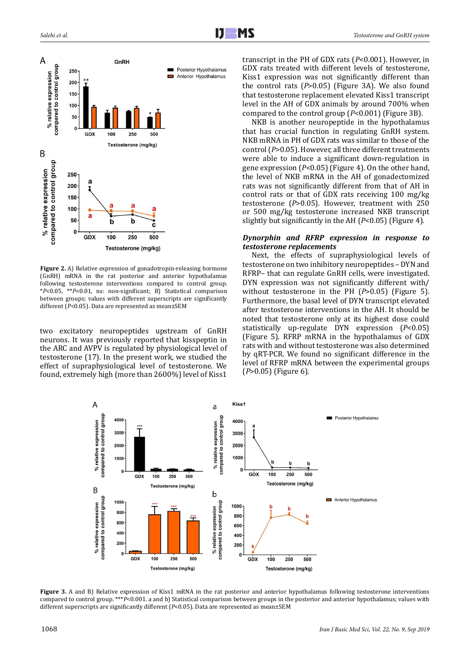

**Figure 2.** A) Relative expression of gonadotropin-releasing hormone (GnRH) mRNA in the rat posterior and anterior hypothalamus following testosterone interventions compared to control group. \**P*<0.05, \*\**P*<0.01, ns: non-significant; B) Statistical comparison between groups; values with different superscripts are significantly different (*P*<0.05). Data are represented as mean±SEM

two excitatory neuropeptides upstream of GnRH neurons. It was previously reported that kisspeptin in the ARC and AVPV is regulated by physiological level of testosterone (17). In the present work, we studied the effect of supraphysiological level of testosterone. We found, extremely high (more than 2600%) level of Kiss1

transcript in the PH of GDX rats (*P*<0.001). However, in GDX rats treated with different levels of testosterone, Kiss1 expression was not significantly different than the control rats (*P*>0.05) (Figure 3A). We also found that testosterone replacement elevated Kiss1 transcript level in the AH of GDX animals by around 700% when compared to the control group (*P*<0.001) (Figure 3B).

NKB is another neuropeptide in the hypothalamus that has crucial function in regulating GnRH system. NKB mRNA in PH of GDX rats was similar to those of the control (*P*>0.05). However, all three different treatments were able to induce a significant down-regulation in gene expression (*P*<0.05) (Figure 4). On the other hand, the level of NKB mRNA in the AH of gonadectomized rats was not significantly different from that of AH in control rats or that of GDX rats receiving 100 mg/kg testosterone (*P*>0.05). However, treatment with 250 or 500 mg/kg testosterone increased NKB transcript slightly but significantly in the AH (*P*<0.05) (Figure 4).

# *Dynorphin and RFRP expression in response to testosterone replacements*

Next, the effects of supraphysiological levels of testosterone on two inhibitory neuropeptides – DYN and RFRP– that can regulate GnRH cells, were investigated. DYN expression was not significantly different with/ without testosterone in the PH (*P*>0.05) (Figure 5). Furthermore, the basal level of DYN transcript elevated after testosterone interventions in the AH. It should be noted that testosterone only at its highest dose could statistically up-regulate DYN expression (*P*<0.05) (Figure 5). RFRP mRNA in the hypothalamus of GDX rats with and without testosterone was also determined by qRT-PCR. We found no significant difference in the level of RFRP mRNA between the experimental groups (*P*>0.05) (Figure 6).



**Figure 3.** A and B) Relative expression of Kiss1 mRNA in the rat posterior and anterior hypothalamus following testosterone interventions compared to control group. \*\*\**P*<0.001. a and b) Statistical comparison between groups in the posterior and anterior hypothalamus; values with different superscripts are significantly different (*P*<0.05). Data are represented as mean±SEM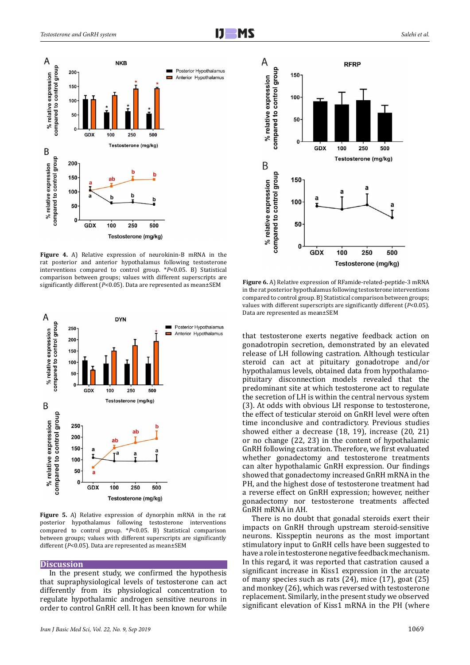

**Figure 4.** A) Relative expression of neurokinin-B mRNA in the rat posterior and anterior hypothalamus following testosterone interventions compared to control group. \**P*<0.05. B) Statistical comparison between groups; values with different superscripts are significantly different (*P*<0.05). Data are represented as mean±SEM



**Figure 5.** A) Relative expression of dynorphin mRNA in the rat posterior hypothalamus following testosterone interventions compared to control group. \**P*<0.05. B) Statistical comparison between groups; values with different superscripts are significantly different (*P*<0.05). Data are represented as mean±SEM

#### **Discussion**

In the present study, we confirmed the hypothesis that supraphysiological levels of testosterone can act differently from its physiological concentration to regulate hypothalamic androgen sensitive neurons in order to control GnRH cell. It has been known for while



**Figure 6.** A) Relative expression of RFamide-related-peptide-3 mRNA in the rat posterior hypothalamus following testosterone interventions compared to control group. B) Statistical comparison between groups; values with different superscripts are significantly different (*P*<0.05). Data are represented as mean±SEM

that testosterone exerts negative feedback action on gonadotropin secretion, demonstrated by an elevated release of LH following castration. Although testicular steroid can act at pituitary gonadotrope and/or hypothalamus levels, obtained data from hypothalamopituitary disconnection models revealed that the predominant site at which testosterone act to regulate the secretion of LH is within the central nervous system (3). At odds with obvious LH response to testosterone, the effect of testicular steroid on GnRH level were often time inconclusive and contradictory. Previous studies showed either a decrease (18, 19), increase (20, 21) or no change (22, 23) in the content of hypothalamic GnRH following castration. Therefore, we first evaluated whether gonadectomy and testosterone treatments can alter hypothalamic GnRH expression. Our findings showed that gonadectomy increased GnRH mRNA in the PH, and the highest dose of testosterone treatment had a reverse effect on GnRH expression; however, neither gonadectomy nor testosterone treatments affected GnRH mRNA in AH.

There is no doubt that gonadal steroids exert their impacts on GnRH through upstream steroid-sensitive neurons. Kisspeptin neurons as the most important stimulatory input to GnRH cells have been suggested to have a role in testosterone negative feedback mechanism. In this regard, it was reported that castration caused a significant increase in Kiss1 expression in the arcuate of many species such as rats (24), mice (17), goat (25) and monkey (26), which was reversed with testosterone replacement. Similarly, in the present study we observed significant elevation of Kiss1 mRNA in the PH (where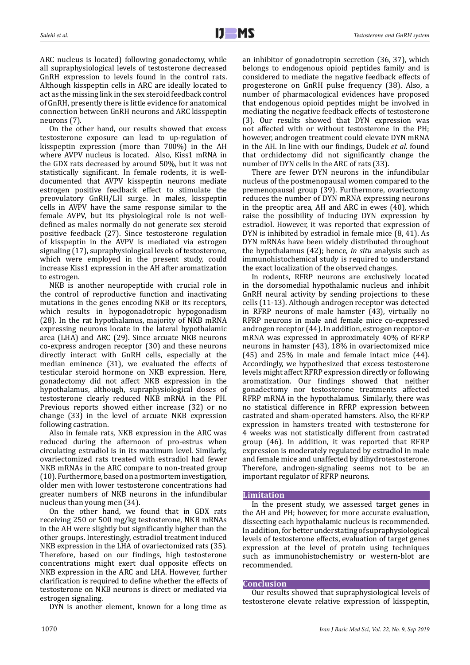ARC nucleus is located) following gonadectomy, while all supraphysiological levels of testosterone decreased GnRH expression to levels found in the control rats. Although kisspeptin cells in ARC are ideally located to act as the missing link in the sex steroid feedback control of GnRH, presently there is little evidence for anatomical connection between GnRH neurons and ARC kisspeptin neurons (7).

On the other hand, our results showed that excess testosterone exposure can lead to up-regulation of kisspeptin expression (more than 700%) in the AH where AVPV nucleus is located. Also, Kiss1 mRNA in the GDX rats decreased by around 50%, but it was not statistically significant. In female rodents, it is welldocumented that AVPV kisspeptin neurons mediate estrogen positive feedback effect to stimulate the preovulatory GnRH/LH surge. In males, kisspeptin cells in AVPV have the same response similar to the female AVPV, but its physiological role is not welldefined as males normally do not generate sex steroid positive feedback (27). Since testosterone regulation of kisspeptin in the AVPV is mediated via estrogen signaling (17), supraphysiological levels of testosterone, which were employed in the present study, could increase Kiss1 expression in the AH after aromatization to estrogen.

NKB is another neuropeptide with crucial role in the control of reproductive function and inactivating mutations in the genes encoding NKB or its receptors, which results in hypogonadotropic hypogonadism (28). In the rat hypothalamus, majority of NKB mRNA expressing neurons locate in the lateral hypothalamic area (LHA) and ARC (29). Since arcuate NKB neurons co-express androgen receptor (30) and these neurons directly interact with GnRH cells, especially at the median eminence (31), we evaluated the effects of testicular steroid hormone on NKB expression. Here, gonadectomy did not affect NKB expression in the hypothalamus, although, supraphysiological doses of testosterone clearly reduced NKB mRNA in the PH. Previous reports showed either increase (32) or no change (33) in the level of arcuate NKB expression following castration.

Also in female rats, NKB expression in the ARC was reduced during the afternoon of pro-estrus when circulating estradiol is in its maximum level. Similarly, ovariectomized rats treated with estradiol had fewer NKB mRNAs in the ARC compare to non-treated group (10). Furthermore, based on a postmortem investigation, older men with lower testosterone concentrations had greater numbers of NKB neurons in the infundibular nucleus than young men (34).

On the other hand, we found that in GDX rats receiving 250 or 500 mg/kg testosterone, NKB mRNAs in the AH were slightly but significantly higher than the other groups. Interestingly, estradiol treatment induced NKB expression in the LHA of ovariectomized rats (35). Therefore, based on our findings, high testosterone concentrations might exert dual opposite effects on NKB expression in the ARC and LHA. However, further clarification is required to define whether the effects of testosterone on NKB neurons is direct or mediated via estrogen signaling.

DYN is another element, known for a long time as

an inhibitor of gonadotropin secretion (36, 37), which belongs to endogenous opioid peptides family and is considered to mediate the negative feedback effects of progesterone on GnRH pulse frequency (38). Also, a number of pharmacological evidences have proposed that endogenous opioid peptides might be involved in mediating the negative feedback effects of testosterone (3). Our results showed that DYN expression was not affected with or without testosterone in the PH; however, androgen treatment could elevate DYN mRNA in the AH. In line with our findings, Dudek *et al.* found that orchidectomy did not significantly change the number of DYN cells in the ARC of rats (33).

There are fewer DYN neurons in the infundibular nucleus of the postmenopausal women compared to the premenopausal group (39). Furthermore, ovariectomy reduces the number of DYN mRNA expressing neurons in the preoptic area, AH and ARC in ewes (40), which raise the possibility of inducing DYN expression by estradiol. However, it was reported that expression of DYN is inhibited by estradiol in female mice (8, 41). As DYN mRNAs have been widely distributed throughout the hypothalamus (42); hence, *in situ* analysis such as immunohistochemical study is required to understand the exact localization of the observed changes.

In rodents, RFRP neurons are exclusively located in the dorsomedial hypothalamic nucleus and inhibit GnRH neural activity by sending projections to these cells (11-13). Although androgen receptor was detected in RFRP neurons of male hamster (43), virtually no RFRP neurons in male and female mice co-expressed androgen receptor (44). In addition, estrogen receptor-α mRNA was expressed in approximately 40% of RFRP neurons in hamster (43), 18% in ovariectomized mice (45) and 25% in male and female intact mice (44). Accordingly, we hypothesized that excess testosterone levels might affect RFRP expression directly or following aromatization. Our findings showed that neither gonadectomy nor testosterone treatments affected RFRP mRNA in the hypothalamus. Similarly, there was no statistical difference in RFRP expression between castrated and sham-operated hamsters. Also, the RFRP expression in hamsters treated with testosterone for 4 weeks was not statistically different from castrated group (46). In addition, it was reported that RFRP expression is moderately regulated by estradiol in male and female mice and unaffected by dihydrotestosterone. Therefore, androgen-signaling seems not to be an important regulator of RFRP neurons.

## **Limitation**

In the present study, we assessed target genes in the AH and PH; however, for more accurate evaluation, dissecting each hypothalamic nucleus is recommended. In addition, for better understating of supraphysiological levels of testosterone effects, evaluation of target genes expression at the level of protein using techniques such as immunohistochemistry or western-blot are recommended.

## **Conclusion**

Our results showed that supraphysiological levels of testosterone elevate relative expression of kisspeptin,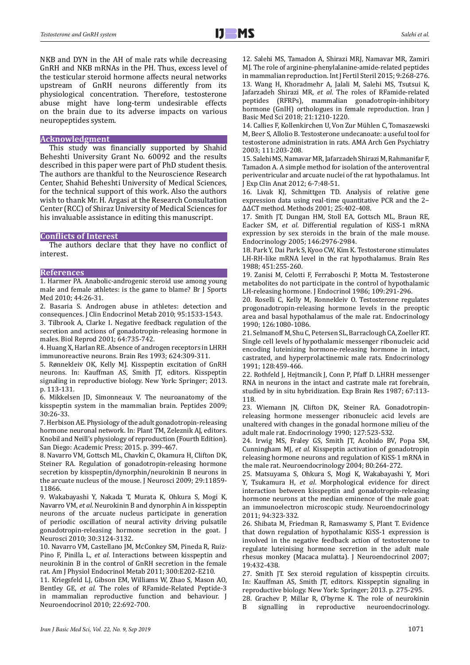NKB and DYN in the AH of male rats while decreasing GnRH and NKB mRNAs in the PH. Thus, excess level of the testicular steroid hormone affects neural networks upstream of GnRH neurons differently from its physiological concentration. Therefore, testosterone abuse might have long-term undesirable effects on the brain due to its adverse impacts on various neuropeptides system.

#### **Acknowledgment**

This study was financially supported by Shahid Beheshti University Grant No. 60092 and the results described in this paper were part of PhD student thesis. The authors are thankful to the Neuroscience Research Center, Shahid Beheshti University of Medical Sciences, for the technical support of this work. Also the authors wish to thank Mr. H. Argasi at the Research Consultation Center (RCC) of Shiraz University of Medical Sciences for his invaluable assistance in editing this manuscript.

### **Conflicts of Interest**

The authors declare that they have no conflict of interest.

#### **References**

1. Harmer PA. Anabolic-androgenic steroid use among young male and female athletes: is the game to blame? Br J Sports Med 2010; 44:26-31.

2. Basaria S. Androgen abuse in athletes: detection and consequences. J Clin Endocrinol Metab 2010; 95:1533-1543.

3. Tilbrook A, Clarke I. Negative feedback regulation of the secretion and actions of gonadotropin-releasing hormone in males. Biol Reprod 2001; 64:735-742.

4. Huang X, Harlan RE. Absence of androgen receptors in LHRH immunoreactive neurons. Brain Res 1993; 624:309-311.

5. Rønnekleiv OK, Kelly MJ. Kisspeptin excitation of GnRH neurons. In: Kauffman AS, Smith JT, editors. Kisspeptin signaling in reproductive biology. New York: Springer; 2013. p. 113-131.

6. Mikkelsen JD, Simonneaux V. The neuroanatomy of the kisspeptin system in the mammalian brain. Peptides 2009; 30:26-33.

7. Herbison AE. Physiology of the adult gonadotropin-releasing hormone neuronal network. In: Plant TM, Zeleznik AJ, editors. Knobil and Neill's physiology of reproduction (Fourth Edition). San Diego: Academic Press; 2015. p. 399-467.

8. Navarro VM, Gottsch ML, Chavkin C, Okamura H, Clifton DK, Steiner RA. Regulation of gonadotropin-releasing hormone secretion by kisspeptin/dynorphin/neurokinin B neurons in the arcuate nucleus of the mouse. J Neurosci 2009; 29:11859- 11866.

9. Wakabayashi Y, Nakada T, Murata K, Ohkura S, Mogi K, Navarro VM, *et al*. Neurokinin B and dynorphin A in kisspeptin neurons of the arcuate nucleus participate in generation of periodic oscillation of neural activity driving pulsatile gonadotropin-releasing hormone secretion in the goat. J Neurosci 2010; 30:3124-3132.

10. Navarro VM, Castellano JM, McConkey SM, Pineda R, Ruiz-Pino F, Pinilla L, *et al*. Interactions between kisspeptin and neurokinin B in the control of GnRH secretion in the female rat. Am J Physiol Endocrinol Metab 2011; 300:E202-E210.

11. Kriegsfeld LJ, Gibson EM, Williams W, Zhao S, Mason AO, Bentley GE, *et al*. The roles of RFamide-Related Peptide-3 in mammalian reproductive function and behaviour. J Neuroendocrinol 2010; 22:692-700.

12. Salehi MS, Tamadon A, Shirazi MRJ, Namavar MR, Zamiri MJ. The role of arginine-phenylalanine-amide-related peptides in mammalian reproduction. Int J Fertil Steril 2015; 9:268-276. 13. Wang H, Khoradmehr A, Jalali M, Salehi MS, Tsutsui K, Jafarzadeh Shirazi MR, *et al*. The roles of RFamide-related peptides (RFRPs), mammalian gonadotropin-inhibitory hormone (GnIH) orthologues in female reproduction. Iran J Basic Med Sci 2018; 21:1210-1220.

14. Callies F, Kollenkirchen U, Von Zur Mühlen C, Tomaszewski M, Beer S, Allolio B. Testosterone undecanoate: a useful tool for testosterone administration in rats. AMA Arch Gen Psychiatry 2003; 111:203-208.

15. Salehi MS, Namavar MR, Jafarzadeh Shirazi M, Rahmanifar F, Tamadon A. A simple method for isolation of the anteroventral periventricular and arcuate nuclei of the rat hypothalamus. Int J Exp Clin Anat 2012; 6-7:48-51.

16. Livak KJ, Schmittgen TD. Analysis of relative gene expression data using real-time quantitative PCR and the 2− ΔΔCT method. Methods 2001; 25:402-408.

17. Smith JT, Dungan HM, Stoll EA, Gottsch ML, Braun RE, Eacker SM, *et al*. Differential regulation of KiSS-1 mRNA expression by sex steroids in the brain of the male mouse. Endocrinology 2005; 146:2976-2984.

18. Park Y, Dai Park S, Kyoo CW, Kim K. Testosterone stimulates LH-RH-like mRNA level in the rat hypothalamus. Brain Res 1988; 451:255-260.

19. Zanisi M, Celotti F, Ferraboschi P, Motta M. Testosterone metabolites do not participate in the control of hypothalamic LH-releasing hormone. J Endocrinol 1986; 109:291-296.

20. Roselli C, Kelly M, Ronnekleiv O. Testosterone regulates progonadotropin-releasing hormone levels in the preoptic area and basal hypothalamus of the male rat. Endocrinology 1990; 126:1080-1086.

21. Selmanoff M, Shu C, Petersen SL, Barraclough CA, Zoeller RT. Single cell levels of hypothalamic messenger ribonucleic acid encoding luteinizing hormone-releasing hormone in intact, castrated, and hyperprolactinemic male rats. Endocrinology 1991; 128:459-466.

22. Rothfeld J, Hejtmancik J, Conn P, Pfaff D. LHRH messenger RNA in neurons in the intact and castrate male rat forebrain, studied by in situ hybridization. Exp Brain Res 1987; 67:113- 118.

23. Wiemann JN, Clifton DK, Steiner RA. Gonadotropinreleasing hormone messenger ribonucleic acid levels are unaltered with changes in the gonadal hormone milieu of the adult male rat. Endocrinology 1990; 127:523-532.

24. Irwig MS, Fraley GS, Smith JT, Acohido BV, Popa SM, Cunningham MJ, *et al*. Kisspeptin activation of gonadotropin releasing hormone neurons and regulation of KiSS-1 mRNA in the male rat. Neuroendocrinology 2004; 80:264-272.

25. Matsuyama S, Ohkura S, Mogi K, Wakabayashi Y, Mori Y, Tsukamura H, *et al*. Morphological evidence for direct interaction between kisspeptin and gonadotropin-releasing hormone neurons at the median eminence of the male goat: an immunoelectron microscopic study. Neuroendocrinology 2011; 94:323-332.

26. Shibata M, Friedman R, Ramaswamy S, Plant T. Evidence that down regulation of hypothalamic KiSS-1 expression is involved in the negative feedback action of testosterone to regulate luteinising hormone secretion in the adult male rhesus monkey (Macaca mulatta). J Neuroendocrinol 2007; 19:432-438.

27. Smith JT. Sex steroid regulation of kisspeptin circuits. In: Kauffman AS, Smith JT, editors. Kisspeptin signaling in reproductive biology. New York: Springer; 2013. p. 275-295.

28. Grachev P, Millar R, O'byrne K. The role of neurokinin neuroendocrinology.